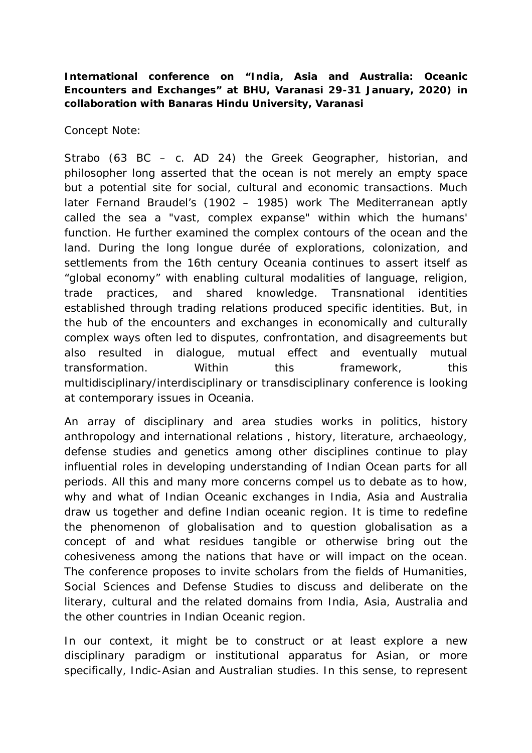**International conference on "India, Asia and Australia: Oceanic Encounters and Exchanges" at BHU, Varanasi 29-31 January, 2020) in collaboration with Banaras Hindu University, Varanasi**

Concept Note:

Strabo (63 BC – c. AD 24) the Greek Geographer, historian, and philosopher long asserted that the ocean is not merely an empty space but a potential site for social, cultural and economic transactions. Much later Fernand Braudel's (1902 – 1985) work *The Mediterranean* aptly called the sea a "vast, complex expanse" within which the humans' function. He further examined the complex contours of the ocean and the land. During the long longue durée of explorations, colonization, and settlements from the 16th century Oceania continues to assert itself as "global economy" with enabling cultural modalities of language, religion, trade practices, and shared knowledge. Transnational identities established through trading relations produced specific identities. But, in the hub of the encounters and exchanges in economically and culturally complex ways often led to disputes, confrontation, and disagreements but also resulted in dialogue, mutual effect and eventually mutual transformation. Within this framework, this multidisciplinary/interdisciplinary or transdisciplinary conference is looking at contemporary issues in Oceania.

An array of disciplinary and area studies works in politics, history anthropology and international relations , history, literature, archaeology, defense studies and genetics among other disciplines continue to play influential roles in developing understanding of Indian Ocean parts for all periods. All this and many more concerns compel us to debate as to how, why and what of Indian Oceanic exchanges in India, Asia and Australia draw us together and define Indian oceanic region. It is time to redefine the phenomenon of globalisation and to question globalisation as a concept of and what residues tangible or otherwise bring out the cohesiveness among the nations that have or will impact on the ocean. The conference proposes to invite scholars from the fields of Humanities, Social Sciences and Defense Studies to discuss and deliberate on the literary, cultural and the related domains from India, Asia, Australia and the other countries in Indian Oceanic region.

In our context, it might be to construct or at least explore a new disciplinary paradigm or institutional apparatus for Asian, or more specifically, Indic-Asian and Australian studies. In this sense, to represent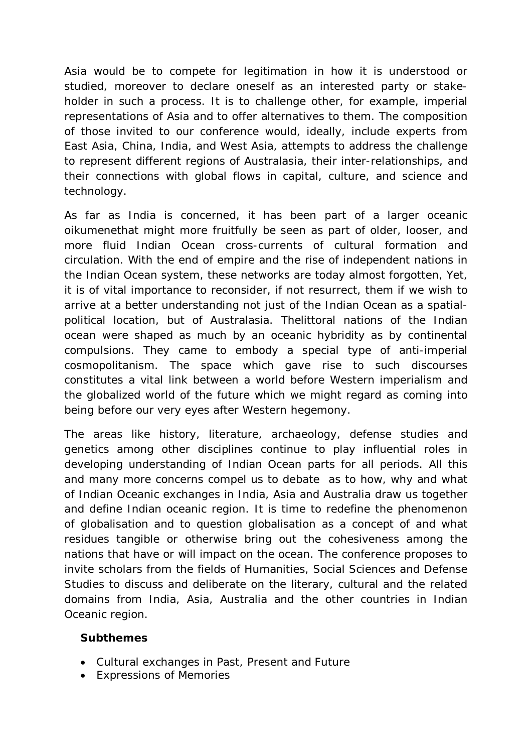Asia would be to compete for legitimation in how it is understood or studied, moreover to declare oneself as an interested party or stakeholder in such a process. It is to challenge other, for example, imperial representations of Asia and to offer alternatives to them. The composition of those invited to our conference would, ideally, include experts from East Asia, China, India, and West Asia, attempts to address the challenge to represent different regions of Australasia, their inter-relationships, and their connections with global flows in capital, culture, and science and technology.

As far as India is concerned, it has been part of a larger oceanic oikumenethat might more fruitfully be seen as part of older, looser, and more fluid Indian Ocean cross-currents of cultural formation and circulation. With the end of empire and the rise of independent nations in the Indian Ocean system, these networks are today almost forgotten, Yet, it is of vital importance to reconsider, if not resurrect, them if we wish to arrive at a better understanding not just of the Indian Ocean as a spatialpolitical location, but of Australasia. Thelittoral nations of the Indian ocean were shaped as much by an oceanic hybridity as by continental compulsions. They came to embody a special type of anti-imperial cosmopolitanism. The space which gave rise to such discourses constitutes a vital link between a world before Western imperialism and the globalized world of the future which we might regard as coming into being before our very eyes *after* Western hegemony.

The areas like history, literature, archaeology, defense studies and genetics among other disciplines continue to play influential roles in developing understanding of Indian Ocean parts for all periods. All this and many more concerns compel us to debate as to how, why and what of Indian Oceanic exchanges in India, Asia and Australia draw us together and define Indian oceanic region. It is time to redefine the phenomenon of globalisation and to question globalisation as a concept of and what residues tangible or otherwise bring out the cohesiveness among the nations that have or will impact on the ocean. The conference proposes to invite scholars from the fields of Humanities, Social Sciences and Defense Studies to discuss and deliberate on the literary, cultural and the related domains from India, Asia, Australia and the other countries in Indian Oceanic region.

## **Subthemes**

- Cultural exchanges in Past, Present and Future
- Expressions of Memories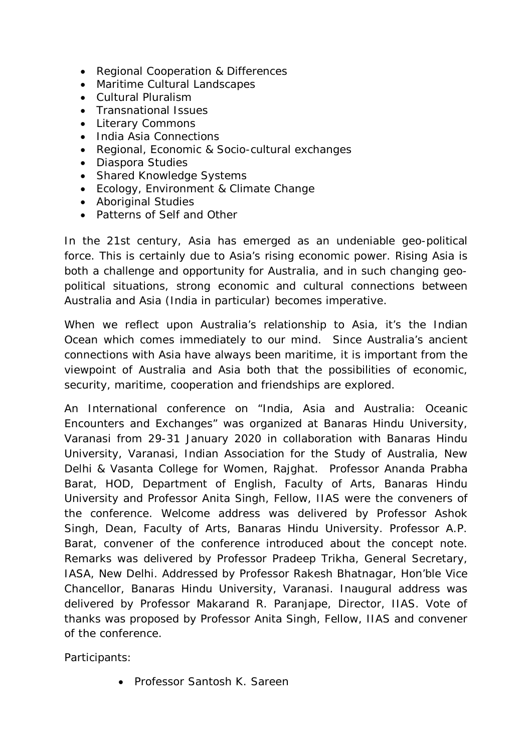- Regional Cooperation & Differences
- Maritime Cultural Landscapes
- Cultural Pluralism
- Transnational Issues
- Literary Commons
- India Asia Connections
- Regional, Economic & Socio-cultural exchanges
- Diaspora Studies
- Shared Knowledge Systems
- Ecology, Environment & Climate Change
- Aboriginal Studies
- Patterns of Self and Other

In the 21st century, Asia has emerged as an undeniable geo-political force. This is certainly due to Asia's rising economic power. Rising Asia is both a challenge and opportunity for Australia, and in such changing geopolitical situations, strong economic and cultural connections between Australia and Asia (India in particular) becomes imperative.

When we reflect upon Australia's relationship to Asia, it's the Indian Ocean which comes immediately to our mind. Since Australia's ancient connections with Asia have always been maritime, it is important from the viewpoint of Australia and Asia both that the possibilities of economic, security, maritime, cooperation and friendships are explored.

An International conference on "*India, Asia and Australia: Oceanic Encounters and Exchanges*" was organized at Banaras Hindu University, Varanasi from 29-31 January 2020 in collaboration with Banaras Hindu University, Varanasi, Indian Association for the Study of Australia, New Delhi & Vasanta College for Women, Rajghat. Professor Ananda Prabha Barat, HOD, Department of English, Faculty of Arts, Banaras Hindu University and Professor Anita Singh, Fellow, IIAS were the conveners of the conference. Welcome address was delivered by Professor Ashok Singh, Dean, Faculty of Arts, Banaras Hindu University. Professor A.P. Barat, convener of the conference introduced about the concept note. Remarks was delivered by Professor Pradeep Trikha, General Secretary, IASA, New Delhi. Addressed by Professor Rakesh Bhatnagar, Hon'ble Vice Chancellor, Banaras Hindu University, Varanasi. Inaugural address was delivered by Professor Makarand R. Paranjape, Director, IIAS. Vote of thanks was proposed by Professor Anita Singh, Fellow, IIAS and convener of the conference.

Participants:

• Professor Santosh K. Sareen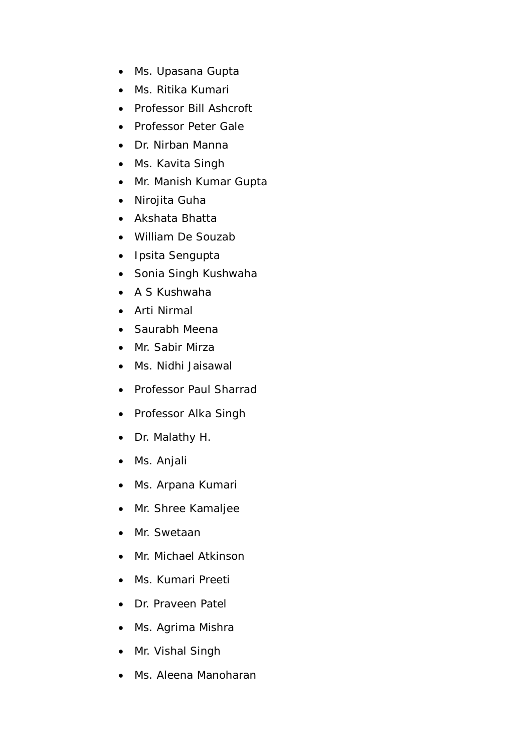- Ms. Upasana Gupta
- Ms. Ritika Kumari
- Professor Bill Ashcroft
- Professor Peter Gale
- Dr. Nirban Manna
- Ms. Kavita Singh
- Mr. Manish Kumar Gupta
- Nirojita Guha
- Akshata Bhatta
- William De Souzab
- Ipsita Sengupta
- Sonia Singh Kushwaha
- A S Kushwaha
- Arti Nirmal
- Saurabh Meena
- Mr. Sabir Mirza
- Ms. Nidhi Jaisawal
- Professor Paul Sharrad
- Professor Alka Singh
- Dr. Malathy H.
- Ms. Anjali
- Ms. Arpana Kumari
- Mr. Shree Kamaljee
- Mr. Swetaan
- Mr. Michael Atkinson
- Ms. Kumari Preeti
- Dr. Praveen Patel
- Ms. Agrima Mishra
- Mr. Vishal Singh
- Ms. Aleena Manoharan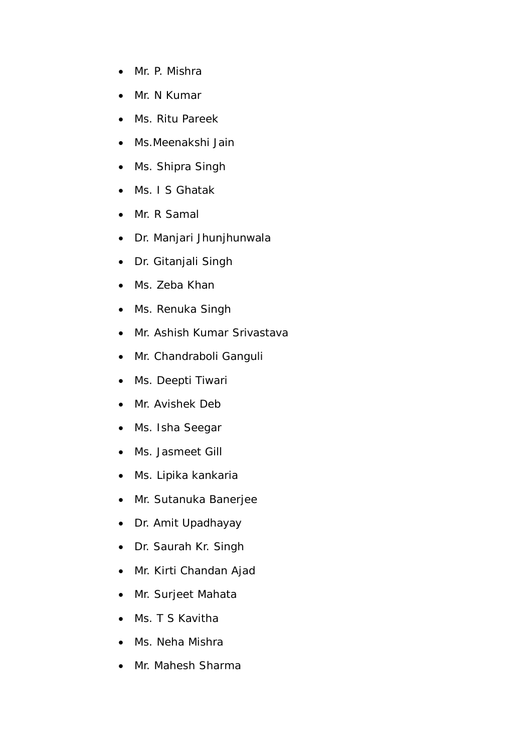- Mr. P. Mishra
- Mr. N Kumar
- Ms. Ritu Pareek
- Ms.Meenakshi Jain
- Ms. Shipra Singh
- Ms. I S Ghatak
- Mr. R Samal
- Dr. Manjari Jhunjhunwala
- Dr. Gitanjali Singh
- Ms. Zeba Khan
- Ms. Renuka Singh
- Mr. Ashish Kumar Srivastava
- Mr. Chandraboli Ganguli
- Ms. Deepti Tiwari
- Mr. Avishek Deb
- Ms. Isha Seegar
- Ms. Jasmeet Gill
- Ms. Lipika kankaria
- Mr. Sutanuka Banerjee
- Dr. Amit Upadhayay
- Dr. Saurah Kr. Singh
- Mr. Kirti Chandan Ajad
- Mr. Surjeet Mahata
- Ms. T S Kavitha
- Ms. Neha Mishra
- Mr. Mahesh Sharma